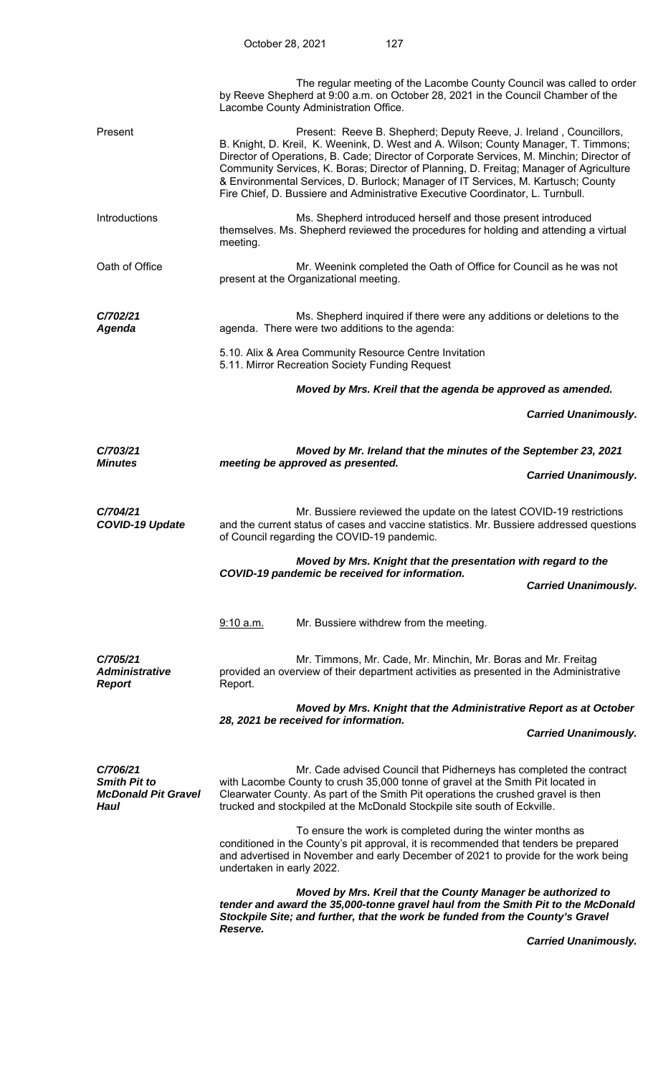|                                                                       | The regular meeting of the Lacombe County Council was called to order<br>by Reeve Shepherd at 9:00 a.m. on October 28, 2021 in the Council Chamber of the<br>Lacombe County Administration Office.                                                                                                                                                                                                                                                                                                                     |  |
|-----------------------------------------------------------------------|------------------------------------------------------------------------------------------------------------------------------------------------------------------------------------------------------------------------------------------------------------------------------------------------------------------------------------------------------------------------------------------------------------------------------------------------------------------------------------------------------------------------|--|
| Present                                                               | Present: Reeve B. Shepherd; Deputy Reeve, J. Ireland, Councillors,<br>B. Knight, D. Kreil, K. Weenink, D. West and A. Wilson; County Manager, T. Timmons;<br>Director of Operations, B. Cade; Director of Corporate Services, M. Minchin; Director of<br>Community Services, K. Boras; Director of Planning, D. Freitag; Manager of Agriculture<br>& Environmental Services, D. Burlock; Manager of IT Services, M. Kartusch; County<br>Fire Chief, D. Bussiere and Administrative Executive Coordinator, L. Turnbull. |  |
| Introductions                                                         | Ms. Shepherd introduced herself and those present introduced<br>themselves. Ms. Shepherd reviewed the procedures for holding and attending a virtual<br>meeting.                                                                                                                                                                                                                                                                                                                                                       |  |
| Oath of Office                                                        | Mr. Weenink completed the Oath of Office for Council as he was not<br>present at the Organizational meeting.                                                                                                                                                                                                                                                                                                                                                                                                           |  |
| C/702/21<br><b>Agenda</b>                                             | Ms. Shepherd inquired if there were any additions or deletions to the<br>agenda. There were two additions to the agenda:                                                                                                                                                                                                                                                                                                                                                                                               |  |
|                                                                       | 5.10. Alix & Area Community Resource Centre Invitation<br>5.11. Mirror Recreation Society Funding Request                                                                                                                                                                                                                                                                                                                                                                                                              |  |
|                                                                       | Moved by Mrs. Kreil that the agenda be approved as amended.                                                                                                                                                                                                                                                                                                                                                                                                                                                            |  |
|                                                                       | <b>Carried Unanimously.</b>                                                                                                                                                                                                                                                                                                                                                                                                                                                                                            |  |
| C/703/21                                                              | Moved by Mr. Ireland that the minutes of the September 23, 2021                                                                                                                                                                                                                                                                                                                                                                                                                                                        |  |
| <b>Minutes</b>                                                        | meeting be approved as presented.<br><b>Carried Unanimously.</b>                                                                                                                                                                                                                                                                                                                                                                                                                                                       |  |
| C/704/21<br><b>COVID-19 Update</b>                                    | Mr. Bussiere reviewed the update on the latest COVID-19 restrictions<br>and the current status of cases and vaccine statistics. Mr. Bussiere addressed questions<br>of Council regarding the COVID-19 pandemic.                                                                                                                                                                                                                                                                                                        |  |
|                                                                       | Moved by Mrs. Knight that the presentation with regard to the<br>COVID-19 pandemic be received for information.<br><b>Carried Unanimously.</b>                                                                                                                                                                                                                                                                                                                                                                         |  |
|                                                                       |                                                                                                                                                                                                                                                                                                                                                                                                                                                                                                                        |  |
|                                                                       | Mr. Bussiere withdrew from the meeting.<br>9:10 a.m.                                                                                                                                                                                                                                                                                                                                                                                                                                                                   |  |
| C/705/21<br><b>Administrative</b><br><b>Report</b>                    | Mr. Timmons, Mr. Cade, Mr. Minchin, Mr. Boras and Mr. Freitag<br>provided an overview of their department activities as presented in the Administrative<br>Report.                                                                                                                                                                                                                                                                                                                                                     |  |
|                                                                       | Moved by Mrs. Knight that the Administrative Report as at October<br>28, 2021 be received for information.                                                                                                                                                                                                                                                                                                                                                                                                             |  |
|                                                                       | <b>Carried Unanimously.</b>                                                                                                                                                                                                                                                                                                                                                                                                                                                                                            |  |
| C/706/21<br><b>Smith Pit to</b><br><b>McDonald Pit Gravel</b><br>Haul | Mr. Cade advised Council that Pidherneys has completed the contract<br>with Lacombe County to crush 35,000 tonne of gravel at the Smith Pit located in<br>Clearwater County. As part of the Smith Pit operations the crushed gravel is then<br>trucked and stockpiled at the McDonald Stockpile site south of Eckville.                                                                                                                                                                                                |  |
|                                                                       | To ensure the work is completed during the winter months as<br>conditioned in the County's pit approval, it is recommended that tenders be prepared<br>and advertised in November and early December of 2021 to provide for the work being<br>undertaken in early 2022.                                                                                                                                                                                                                                                |  |
|                                                                       | Moved by Mrs. Kreil that the County Manager be authorized to<br>tender and award the 35,000-tonne gravel haul from the Smith Pit to the McDonald<br>Stockpile Site; and further, that the work be funded from the County's Gravel<br>Reserve.                                                                                                                                                                                                                                                                          |  |

 *Carried Unanimously.*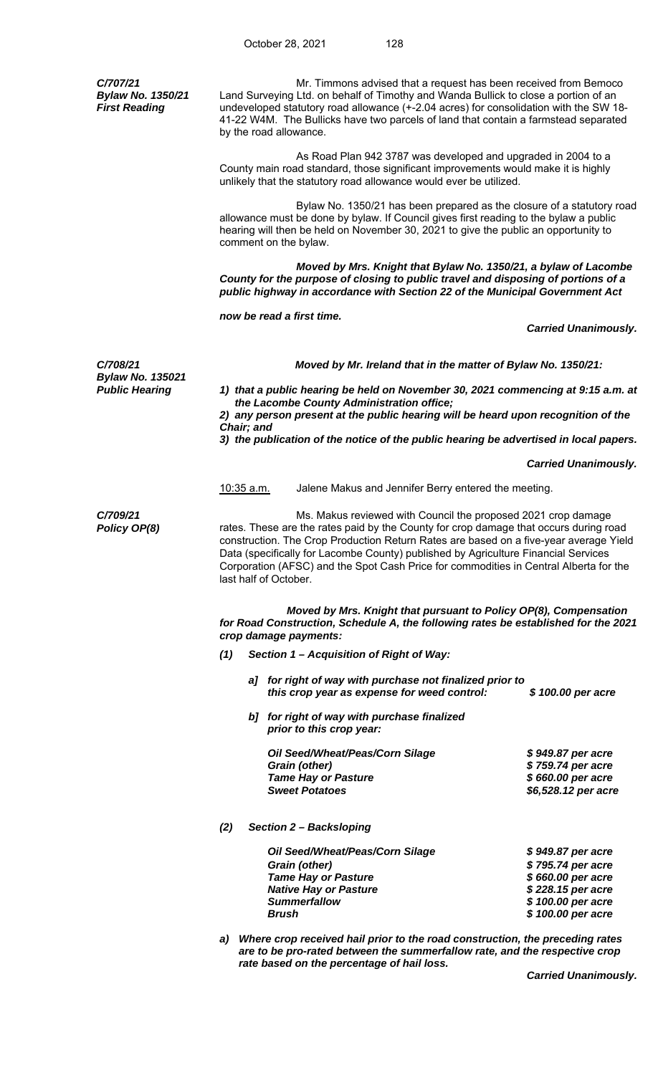*C/707/21 Bylaw No. 1350/21 First Reading*  Mr. Timmons advised that a request has been received from Bemoco Land Surveying Ltd. on behalf of Timothy and Wanda Bullick to close a portion of an undeveloped statutory road allowance (+-2.04 acres) for consolidation with the SW 18- 41-22 W4M. The Bullicks have two parcels of land that contain a farmstead separated by the road allowance. As Road Plan 942 3787 was developed and upgraded in 2004 to a County main road standard, those significant improvements would make it is highly unlikely that the statutory road allowance would ever be utilized. Bylaw No. 1350/21 has been prepared as the closure of a statutory road allowance must be done by bylaw. If Council gives first reading to the bylaw a public hearing will then be held on November 30, 2021 to give the public an opportunity to comment on the bylaw.  *Moved by Mrs. Knight that Bylaw No. 1350/21, a bylaw of Lacombe County for the purpose of closing to public travel and disposing of portions of a public highway in accordance with Section 22 of the Municipal Government Act now be read a first time. Carried Unanimously. C/708/21 Moved by Mr. Ireland that in the matter of Bylaw No. 1350/21: Bylaw No. 135021 Public Hearing 1) that a public hearing be held on November 30, 2021 commencing at 9:15 a.m. at the Lacombe County Administration office; 2) any person present at the public hearing will be heard upon recognition of the Chair; and 3) the publication of the notice of the public hearing be advertised in local papers. Carried Unanimously.*  10:35 a.m. Jalene Makus and Jennifer Berry entered the meeting. *C/709/21 Policy OP(8)* Ms. Makus reviewed with Council the proposed 2021 crop damage rates. These are the rates paid by the County for crop damage that occurs during road construction. The Crop Production Return Rates are based on a five-year average Yield Data (specifically for Lacombe County) published by Agriculture Financial Services Corporation (AFSC) and the Spot Cash Price for commodities in Central Alberta for the last half of October. *Moved by Mrs. Knight that pursuant to Policy OP(8), Compensation for Road Construction, Schedule A, the following rates be established for the 2021 crop damage payments: (1) Section 1 – Acquisition of Right of Way: a] for right of way with purchase not finalized prior to this crop year as expense for weed control: \$ 100.00 per acre b] for right of way with purchase finalized prior to this crop year: Oil Seed/Wheat/Peas/Corn Silage \$ 949.87 per acre Grain (other) \$ 759.74 per acre Tame Hay or Pasture Box 100 in the S 660.00 per acre*  $$660.00$  per acre  *Sweet Potatoes \$6,528.12 per acre (2) Section 2 – Backsloping Oil Seed/Wheat/Peas/Corn Silage \$ 949.87 per acre Grain (other) \$ 795.74 per acre Tame Hay or Pasture \$ 660.00 per acre*  **Native Hay or Pasture**  *Summerfallow \$ 100.00 per acre Brush \$ 100.00 per acre a) Where crop received hail prior to the road construction, the preceding rates are to be pro-rated between the summerfallow rate, and the respective crop* 

 *rate based on the percentage of hail loss.* 

 *Carried Unanimously.*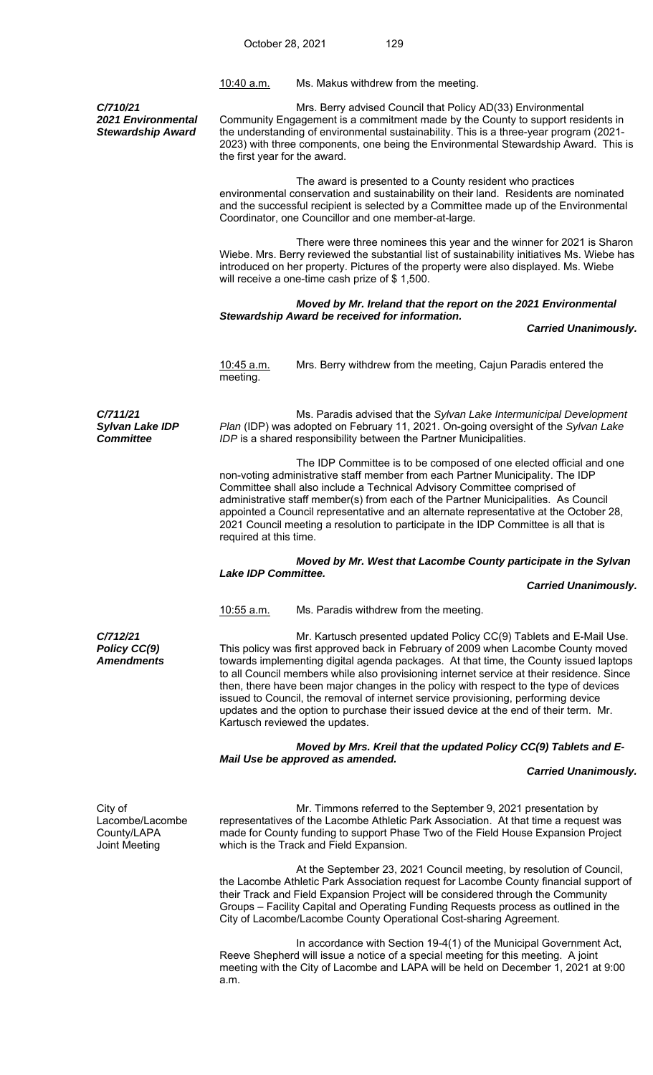10:40 a.m. Ms. Makus withdrew from the meeting.

*C/710/21 2021 Environmental Stewardship Award* 

 Mrs. Berry advised Council that Policy AD(33) Environmental Community Engagement is a commitment made by the County to support residents in the understanding of environmental sustainability. This is a three-year program (2021- 2023) with three components, one being the Environmental Stewardship Award. This is the first year for the award.

 The award is presented to a County resident who practices environmental conservation and sustainability on their land. Residents are nominated and the successful recipient is selected by a Committee made up of the Environmental Coordinator, one Councillor and one member-at-large.

 There were three nominees this year and the winner for 2021 is Sharon Wiebe. Mrs. Berry reviewed the substantial list of sustainability initiatives Ms. Wiebe has introduced on her property. Pictures of the property were also displayed. Ms. Wiebe will receive a one-time cash prize of \$ 1,500.

## *Moved by Mr. Ireland that the report on the 2021 Environmental Stewardship Award be received for information.*

 *Carried Unanimously.* 

10:45 a.m. Mrs. Berry withdrew from the meeting, Cajun Paradis entered the meeting.

*C/711/21 Sylvan Lake IDP Committee* 

Ms. Paradis advised that the *Sylvan Lake Intermunicipal Development Plan* (IDP) was adopted on February 11, 2021. On-going oversight of the *Sylvan Lake IDP* is a shared responsibility between the Partner Municipalities.

 The IDP Committee is to be composed of one elected official and one non-voting administrative staff member from each Partner Municipality. The IDP Committee shall also include a Technical Advisory Committee comprised of administrative staff member(s) from each of the Partner Municipalities. As Council appointed a Council representative and an alternate representative at the October 28, 2021 Council meeting a resolution to participate in the IDP Committee is all that is required at this time.

## *Moved by Mr. West that Lacombe County participate in the Sylvan Lake IDP Committee.*

## *Carried Unanimously.*

10:55 a.m. Ms. Paradis withdrew from the meeting.

*C/712/21 Policy CC(9) Amendments* 

Mr. Kartusch presented updated Policy CC(9) Tablets and E-Mail Use. This policy was first approved back in February of 2009 when Lacombe County moved towards implementing digital agenda packages. At that time, the County issued laptops to all Council members while also provisioning internet service at their residence. Since then, there have been major changes in the policy with respect to the type of devices issued to Council, the removal of internet service provisioning, performing device updates and the option to purchase their issued device at the end of their term. Mr. Kartusch reviewed the updates.

 *Moved by Mrs. Kreil that the updated Policy CC(9) Tablets and E-Mail Use be approved as amended.* 

## *Carried Unanimously.*

City of Lacombe/Lacombe County/LAPA Joint Meeting

Mr. Timmons referred to the September 9, 2021 presentation by representatives of the Lacombe Athletic Park Association. At that time a request was made for County funding to support Phase Two of the Field House Expansion Project which is the Track and Field Expansion.

 At the September 23, 2021 Council meeting, by resolution of Council, the Lacombe Athletic Park Association request for Lacombe County financial support of their Track and Field Expansion Project will be considered through the Community Groups – Facility Capital and Operating Funding Requests process as outlined in the City of Lacombe/Lacombe County Operational Cost-sharing Agreement.

 In accordance with Section 19-4(1) of the Municipal Government Act, Reeve Shepherd will issue a notice of a special meeting for this meeting. A joint meeting with the City of Lacombe and LAPA will be held on December 1, 2021 at 9:00 a.m.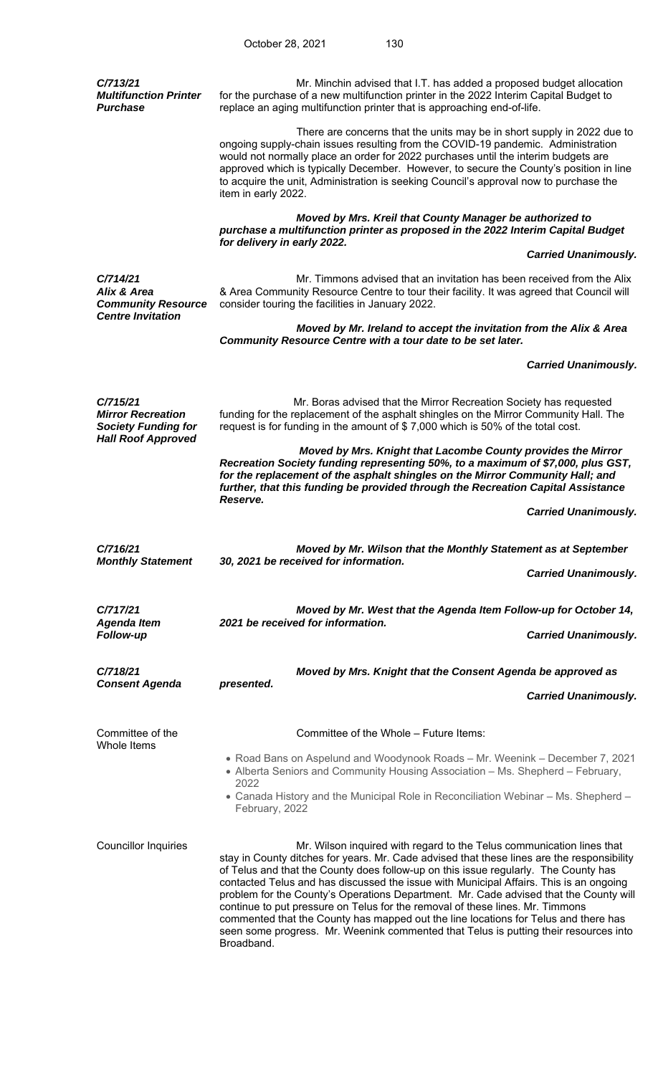| C/713/21<br><b>Multifunction Printer</b><br><b>Purchase</b>        | Mr. Minchin advised that I.T. has added a proposed budget allocation<br>for the purchase of a new multifunction printer in the 2022 Interim Capital Budget to<br>replace an aging multifunction printer that is approaching end-of-life.                                                                                                                                                                                                                                                                                                                                                                                                                                                                                    |  |  |
|--------------------------------------------------------------------|-----------------------------------------------------------------------------------------------------------------------------------------------------------------------------------------------------------------------------------------------------------------------------------------------------------------------------------------------------------------------------------------------------------------------------------------------------------------------------------------------------------------------------------------------------------------------------------------------------------------------------------------------------------------------------------------------------------------------------|--|--|
|                                                                    | There are concerns that the units may be in short supply in 2022 due to<br>ongoing supply-chain issues resulting from the COVID-19 pandemic. Administration<br>would not normally place an order for 2022 purchases until the interim budgets are<br>approved which is typically December. However, to secure the County's position in line<br>to acquire the unit, Administration is seeking Council's approval now to purchase the<br>item in early 2022.                                                                                                                                                                                                                                                                 |  |  |
|                                                                    | Moved by Mrs. Kreil that County Manager be authorized to<br>purchase a multifunction printer as proposed in the 2022 Interim Capital Budget                                                                                                                                                                                                                                                                                                                                                                                                                                                                                                                                                                                 |  |  |
|                                                                    | for delivery in early 2022.<br><b>Carried Unanimously.</b>                                                                                                                                                                                                                                                                                                                                                                                                                                                                                                                                                                                                                                                                  |  |  |
| C/714/21<br>Alix & Area<br><b>Community Resource</b>               | Mr. Timmons advised that an invitation has been received from the Alix<br>& Area Community Resource Centre to tour their facility. It was agreed that Council will<br>consider touring the facilities in January 2022.                                                                                                                                                                                                                                                                                                                                                                                                                                                                                                      |  |  |
| <b>Centre Invitation</b>                                           | Moved by Mr. Ireland to accept the invitation from the Alix & Area<br>Community Resource Centre with a tour date to be set later.                                                                                                                                                                                                                                                                                                                                                                                                                                                                                                                                                                                           |  |  |
|                                                                    | <b>Carried Unanimously.</b>                                                                                                                                                                                                                                                                                                                                                                                                                                                                                                                                                                                                                                                                                                 |  |  |
| C/715/21<br><b>Mirror Recreation</b><br><b>Society Funding for</b> | Mr. Boras advised that the Mirror Recreation Society has requested<br>funding for the replacement of the asphalt shingles on the Mirror Community Hall. The<br>request is for funding in the amount of \$7,000 which is 50% of the total cost.                                                                                                                                                                                                                                                                                                                                                                                                                                                                              |  |  |
| <b>Hall Roof Approved</b>                                          | Moved by Mrs. Knight that Lacombe County provides the Mirror<br>Recreation Society funding representing 50%, to a maximum of \$7,000, plus GST,<br>for the replacement of the asphalt shingles on the Mirror Community Hall; and<br>further, that this funding be provided through the Recreation Capital Assistance                                                                                                                                                                                                                                                                                                                                                                                                        |  |  |
|                                                                    | Reserve.<br><b>Carried Unanimously.</b>                                                                                                                                                                                                                                                                                                                                                                                                                                                                                                                                                                                                                                                                                     |  |  |
| C/716/21                                                           | Moved by Mr. Wilson that the Monthly Statement as at September                                                                                                                                                                                                                                                                                                                                                                                                                                                                                                                                                                                                                                                              |  |  |
| <b>Monthly Statement</b>                                           | 30, 2021 be received for information.<br><b>Carried Unanimously.</b>                                                                                                                                                                                                                                                                                                                                                                                                                                                                                                                                                                                                                                                        |  |  |
| C/717/21                                                           | Moved by Mr. West that the Agenda Item Follow-up for October 14,                                                                                                                                                                                                                                                                                                                                                                                                                                                                                                                                                                                                                                                            |  |  |
| <b>Agenda Item</b><br><b>Follow-up</b>                             | 2021 be received for information.<br><b>Carried Unanimously.</b>                                                                                                                                                                                                                                                                                                                                                                                                                                                                                                                                                                                                                                                            |  |  |
| C/718/21<br><b>Consent Agenda</b>                                  | Moved by Mrs. Knight that the Consent Agenda be approved as                                                                                                                                                                                                                                                                                                                                                                                                                                                                                                                                                                                                                                                                 |  |  |
|                                                                    | presented.<br><b>Carried Unanimously.</b>                                                                                                                                                                                                                                                                                                                                                                                                                                                                                                                                                                                                                                                                                   |  |  |
| Committee of the<br>Whole Items                                    | Committee of the Whole – Future Items:                                                                                                                                                                                                                                                                                                                                                                                                                                                                                                                                                                                                                                                                                      |  |  |
|                                                                    | • Road Bans on Aspelund and Woodynook Roads - Mr. Weenink - December 7, 2021<br>• Alberta Seniors and Community Housing Association – Ms. Shepherd – February,<br>2022                                                                                                                                                                                                                                                                                                                                                                                                                                                                                                                                                      |  |  |
|                                                                    | • Canada History and the Municipal Role in Reconciliation Webinar – Ms. Shepherd –<br>February, 2022                                                                                                                                                                                                                                                                                                                                                                                                                                                                                                                                                                                                                        |  |  |
| <b>Councillor Inquiries</b>                                        | Mr. Wilson inquired with regard to the Telus communication lines that<br>stay in County ditches for years. Mr. Cade advised that these lines are the responsibility<br>of Telus and that the County does follow-up on this issue regularly. The County has<br>contacted Telus and has discussed the issue with Municipal Affairs. This is an ongoing<br>problem for the County's Operations Department. Mr. Cade advised that the County will<br>continue to put pressure on Telus for the removal of these lines. Mr. Timmons<br>commented that the County has mapped out the line locations for Telus and there has<br>seen some progress. Mr. Weenink commented that Telus is putting their resources into<br>Broadband. |  |  |